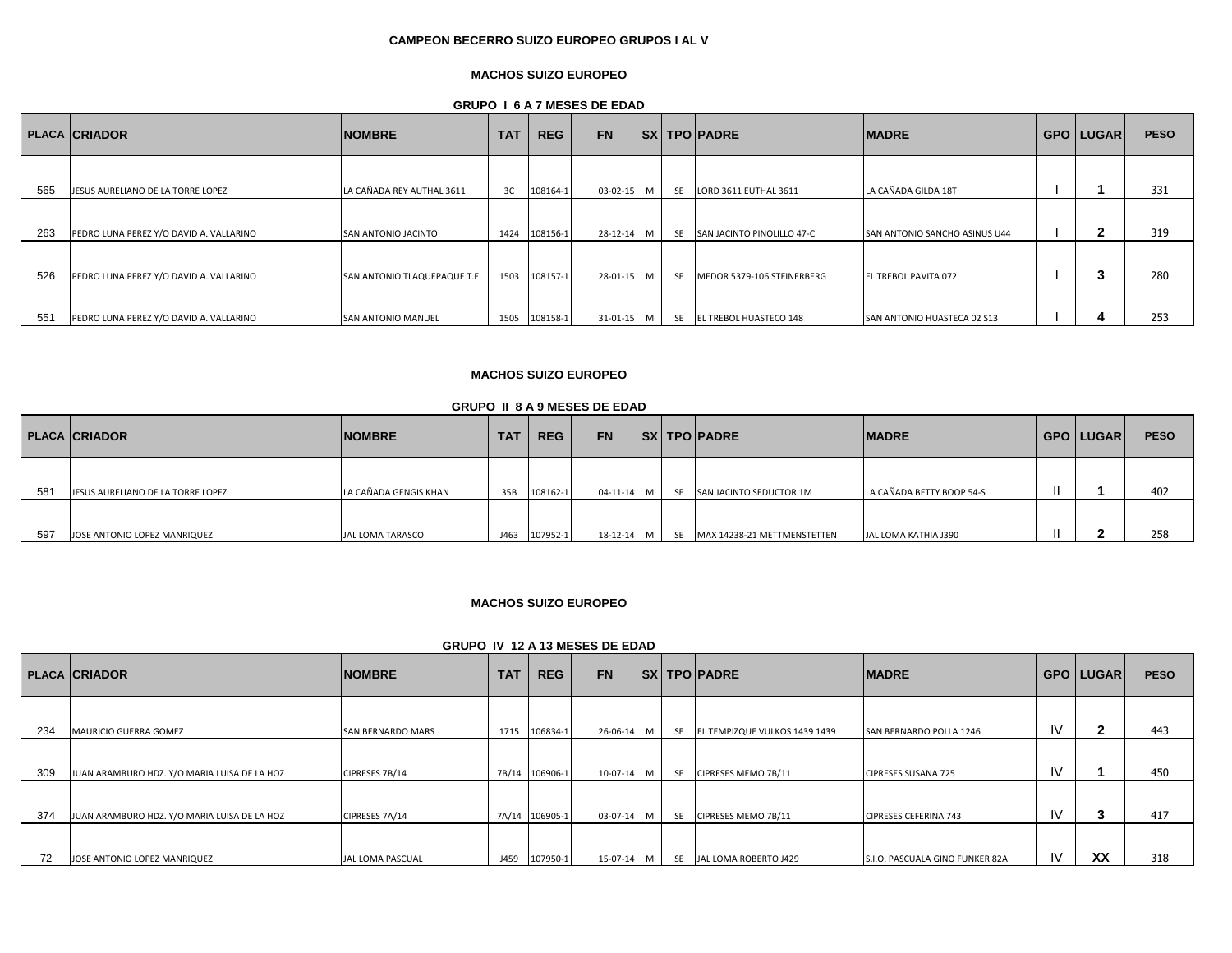# **CAMPEON BECERRO SUIZO EUROPEO GRUPOS I AL V**

# **MACHOS SUIZO EUROPEO**

**GRUPO I 6 A 7 MESES DE EDAD**

|     | <b>PLACA CRIADOR</b>                    | <b>NOMBRE</b>                | <b>TAT</b> | <b>REG</b> | <b>FN</b> |     |           | SX   TPO   PADRE              | <b>IMADRE</b>                        | <b>GPO LUGAR</b> | <b>PESO</b> |
|-----|-----------------------------------------|------------------------------|------------|------------|-----------|-----|-----------|-------------------------------|--------------------------------------|------------------|-------------|
|     |                                         |                              |            |            |           |     |           |                               |                                      |                  |             |
| 565 | JESUS AURELIANO DE LA TORRE LOPEZ       | LA CAÑADA REY AUTHAL 3611    | 3C         | 108164-1   | 03-02-15  | M   | <b>SE</b> | LORD 3611 EUTHAL 3611         | LA CAÑADA GILDA 18T                  |                  | 331         |
|     |                                         |                              |            |            |           |     |           |                               |                                      |                  |             |
| 263 | PEDRO LUNA PEREZ Y/O DAVID A. VALLARINO | <b>SAN ANTONIO JACINTO</b>   | 1424       | 108156-1   | 28-12-14  | м   | <b>SE</b> | SAN JACINTO PINOLILLO 47-C    | <b>SAN ANTONIO SANCHO ASINUS U44</b> |                  | 319         |
|     |                                         |                              |            |            |           |     |           |                               |                                      |                  |             |
| 526 | PEDRO LUNA PEREZ Y/O DAVID A. VALLARINO | SAN ANTONIO TLAQUEPAQUE T.E. | 1503       | 108157-1   | 28-01-15  | M I |           | SE MEDOR 5379-106 STEINERBERG | <b>EL TREBOL PAVITA 072</b>          | J.               | 280         |
|     |                                         |                              |            |            |           |     |           |                               |                                      |                  |             |
| 551 | PEDRO LUNA PEREZ Y/O DAVID A. VALLARINO | <b>SAN ANTONIO MANUEL</b>    | 1505       | 108158-1   | 31-01-15  | м   |           | SE EL TREBOL HUASTECO 148     | <b>SAN ANTONIO HUASTECA 02 S13</b>   |                  | 253         |

# **MACHOS SUIZO EUROPEO**

## **GRUPO II 8 A 9 MESES DE EDAD**

|     | <b>PLACA CRIADOR</b>              | <b>NOMBRE</b>         | TA1  | <b>REG</b> | <b>FN</b> |   | <b>SX TPO PADRE</b>            | <b>IMADRE</b>             | <b>GPO LUGAR</b> | <b>PESO</b> |
|-----|-----------------------------------|-----------------------|------|------------|-----------|---|--------------------------------|---------------------------|------------------|-------------|
| 581 | JESUS AURELIANO DE LA TORRE LOPEZ | LA CAÑADA GENGIS KHAN | 35B  | 108162-1   | 04-11-14  | M | SE SAN JACINTO SEDUCTOR 1M     | LA CAÑADA BETTY BOOP 54-S |                  | 402         |
| 597 | JOSE ANTONIO LOPEZ MANRIQUEZ      | JAL LOMA TARASCO      | J463 | 107952-1   | 18-12-14  | M | SE MAX 14238-21 METTMENSTETTEN | JAL LOMA KATHIA J390      |                  | 258         |

## **MACHOS SUIZO EUROPEO**

#### **GRUPO IV 12 A 13 MESES DE EDAD**

|     | <b>PLACA CRIADOR</b>                         | <b>NOMBRE</b>            | <b>TAT</b> | <b>REG</b>     | <b>FN</b>  |     |    | SX   TPO   PADRE              | <b>IMADRE</b>                   |           | <b>GPO LUGAR</b> | <b>PESO</b> |
|-----|----------------------------------------------|--------------------------|------------|----------------|------------|-----|----|-------------------------------|---------------------------------|-----------|------------------|-------------|
|     |                                              |                          |            |                |            |     |    |                               |                                 |           |                  |             |
| 234 | <b>MAURICIO GUERRA GOMEZ</b>                 | <b>SAN BERNARDO MARS</b> | 1715       | 106834-1       | 26-06-14   | M   | SE | EL TEMPIZQUE VULKOS 1439 1439 | <b>SAN BERNARDO POLLA 1246</b>  | IV        |                  | 443         |
|     |                                              |                          |            |                |            |     |    |                               |                                 |           |                  |             |
| 309 | JUAN ARAMBURO HDZ. Y/O MARIA LUISA DE LA HOZ | CIPRESES 7B/14           |            | 7B/14 106906-1 | $10-07-14$ | M   | SE | CIPRESES MEMO 7B/11           | <b>CIPRESES SUSANA 725</b>      | IV        |                  | 450         |
|     |                                              |                          |            |                |            |     |    |                               |                                 |           |                  |             |
| 374 | JUAN ARAMBURO HDZ. Y/O MARIA LUISA DE LA HOZ | CIPRESES 7A/14           |            | 7A/14 106905-1 | $03-07-14$ | M   | SE | CIPRESES MEMO 7B/11           | CIPRESES CEFERINA 743           | <b>IV</b> |                  | 417         |
|     |                                              |                          |            |                |            |     |    |                               |                                 |           |                  |             |
| 72  | JOSE ANTONIO LOPEZ MANRIQUEZ                 | JAL LOMA PASCUAL         | J459       | 107950-1       | 15-07-14   | M I |    | SE JAL LOMA ROBERTO J429      | S.I.O. PASCUALA GINO FUNKER 82A | IV        | XX               | 318         |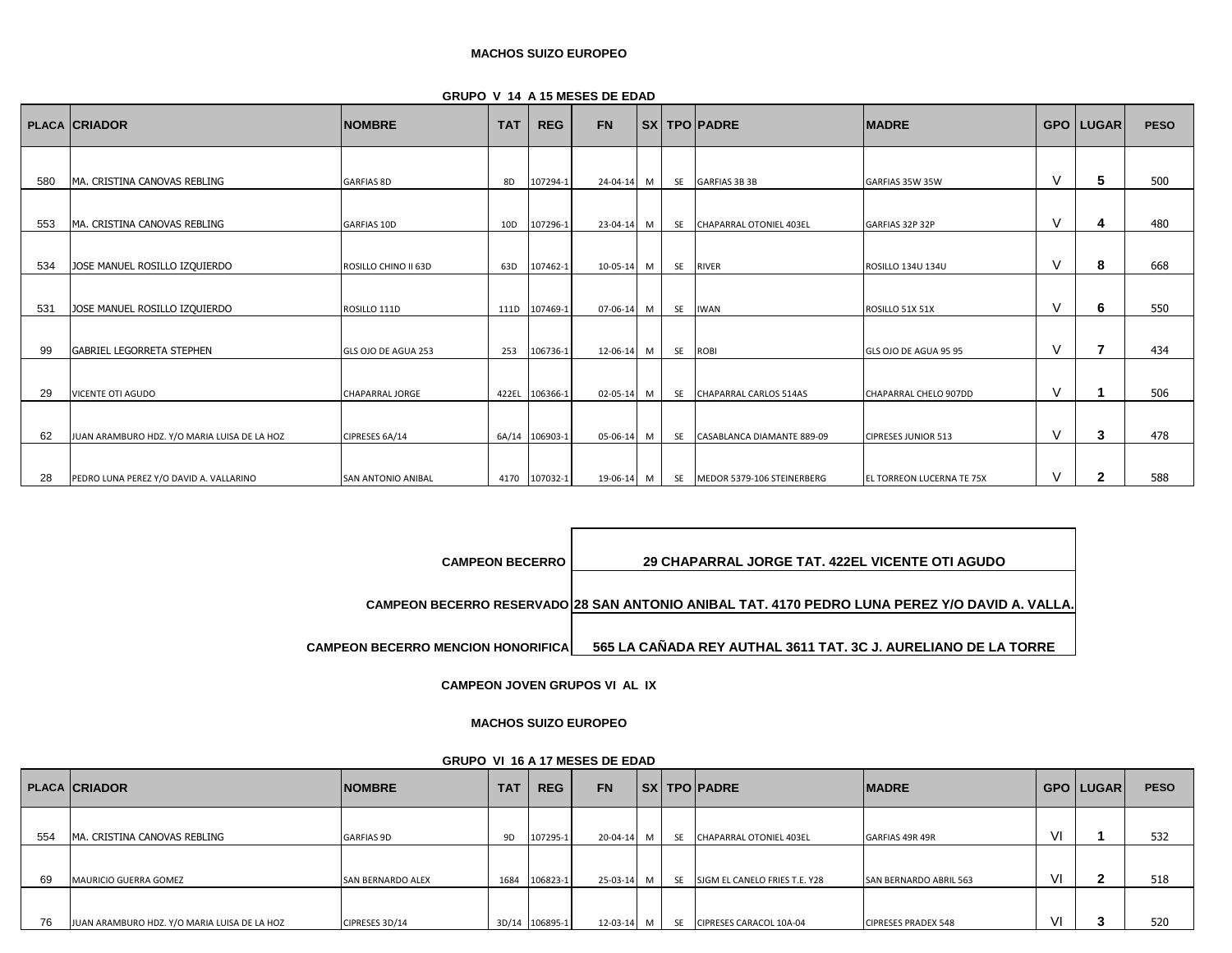| <b>GRUPO V 14 A 15 MESES DE EDAD</b> |
|--------------------------------------|
|--------------------------------------|

|     | <b>PLACA CRIADOR</b>                         | <b>NOMBRE</b>             | <b>TAT</b> | <b>REG</b>     | <b>FN</b>      |   |           | SX   TPO   PADRE              | <b>MADRE</b>               |        | <b>GPO LUGAR</b> | <b>PESO</b> |
|-----|----------------------------------------------|---------------------------|------------|----------------|----------------|---|-----------|-------------------------------|----------------------------|--------|------------------|-------------|
|     |                                              |                           |            |                |                |   |           |                               |                            |        |                  |             |
| 580 | MA. CRISTINA CANOVAS REBLING                 | <b>GARFIAS 8D</b>         | 8D         | 107294-1       | $24 - 04 - 14$ | M | SE        | <b>GARFIAS 3B 3B</b>          | GARFIAS 35W 35W            | V      | 5                | 500         |
|     |                                              |                           |            |                |                |   |           |                               |                            |        |                  |             |
| 553 | MA. CRISTINA CANOVAS REBLING                 | <b>GARFIAS 10D</b>        | 10D        | 107296-1       | 23-04-14       | M |           | SE CHAPARRAL OTONIEL 403EL    | GARFIAS 32P 32P            | V      | 4                | 480         |
|     |                                              |                           |            |                |                |   |           |                               |                            |        |                  |             |
| 534 | JOSE MANUEL ROSILLO IZQUIERDO                | ROSILLO CHINO II 63D      | 63D        | 107462-1       | 10-05-14       | M | SE        | <b>RIVER</b>                  | ROSILLO 134U 134U          | $\vee$ | 8                | 668         |
|     |                                              |                           |            |                |                |   |           |                               |                            |        |                  |             |
| 531 | JOSE MANUEL ROSILLO IZQUIERDO                | ROSILLO 111D              |            | 111D 107469-1  | 07-06-14       | M | <b>SE</b> | <b>IWAN</b>                   | ROSILLO 51X 51X            | V      | 6                | 550         |
|     |                                              |                           |            |                |                |   |           |                               |                            |        |                  |             |
| 99  | <b>GABRIEL LEGORRETA STEPHEN</b>             | GLS OJO DE AGUA 253       | 253        | 106736-1       | 12-06-14       | M | <b>SE</b> | <b>ROBI</b>                   | GLS OJO DE AGUA 95 95      | V      |                  | 434         |
|     |                                              |                           |            |                |                |   |           |                               |                            |        |                  |             |
| 29  | <b>VICENTE OTI AGUDO</b>                     | <b>CHAPARRAL JORGE</b>    |            | 422EL 106366-1 | 02-05-14       | M | SE        | CHAPARRAL CARLOS 514AS        | CHAPARRAL CHELO 907DD      | V      |                  | 506         |
|     |                                              |                           |            |                |                |   |           |                               |                            |        |                  |             |
| 62  | JUAN ARAMBURO HDZ. Y/O MARIA LUISA DE LA HOZ | CIPRESES 6A/14            |            | 6A/14 106903-1 | 05-06-14       | M |           | SE CASABLANCA DIAMANTE 889-09 | <b>CIPRESES JUNIOR 513</b> | V      | 3                | 478         |
|     |                                              |                           |            |                |                |   |           |                               |                            |        |                  |             |
| 28  | PEDRO LUNA PEREZ Y/O DAVID A. VALLARINO      | <b>SAN ANTONIO ANIBAL</b> |            | 4170 107032-1  | 19-06-14 M     |   |           | SE MEDOR 5379-106 STEINERBERG | EL TORREON LUCERNA TE 75X  | $\vee$ | 2                | 588         |

**CAMPEON BECERRO MENCION HONORIFICA 565 LA CAÑADA REY AUTHAL 3611 TAT. 3C J. AURELIANO DE LA TORRE CAMPEON BECERRO RESERVADO 28 SAN ANTONIO ANIBAL TAT. 4170 PEDRO LUNA PEREZ Y/O DAVID A. VALLA. CAMPEON BECERRO 29 CHAPARRAL JORGE TAT. 422EL VICENTE OTI AGUDO**

**CAMPEON JOVEN GRUPOS VI AL IX**

## **MACHOS SUIZO EUROPEO**

| GRUPO VI 16 A 17 MESES DE EDAD |  |  |  |  |  |  |
|--------------------------------|--|--|--|--|--|--|
|--------------------------------|--|--|--|--|--|--|

|     | <b>PLACA CRIADOR</b>                         | <b>NOMBRE</b>            | TA1  | <b>REG</b>     | <b>FN</b> |   |           | SX   TPO  PADRE               | <b>IMADRE</b>                 |     | <b>GPO LUGAR</b> | <b>PESO</b> |
|-----|----------------------------------------------|--------------------------|------|----------------|-----------|---|-----------|-------------------------------|-------------------------------|-----|------------------|-------------|
|     |                                              |                          |      |                |           |   |           |                               |                               |     |                  |             |
| 554 | MA, CRISTINA CANOVAS REBLING                 | <b>GARFIAS 9D</b>        | 9D   | 107295-1       | 20-04-14  | M | <b>SE</b> | CHAPARRAL OTONIEL 403EL       | GARFIAS 49R 49R               | -VI |                  | 532         |
|     |                                              |                          |      |                |           |   |           |                               |                               |     |                  |             |
| 69  | <b>MAURICIO GUERRA GOMEZ</b>                 | <b>SAN BERNARDO ALEX</b> | 1684 | 106823-1       | 25-03-14  | M | <b>SE</b> | SJGM EL CANELO FRIES T.E. Y28 | <b>SAN BERNARDO ABRIL 563</b> | VI  |                  | 518         |
|     |                                              |                          |      |                |           |   |           |                               |                               |     |                  |             |
| 76  | JUAN ARAMBURO HDZ. Y/O MARIA LUISA DE LA HOZ | CIPRESES 3D/14           |      | 3D/14 106895-1 | 12-03-14  | M | <b>SE</b> | CIPRESES CARACOL 10A-04       | <b>CIPRESES PRADEX 548</b>    | VI  |                  | 520         |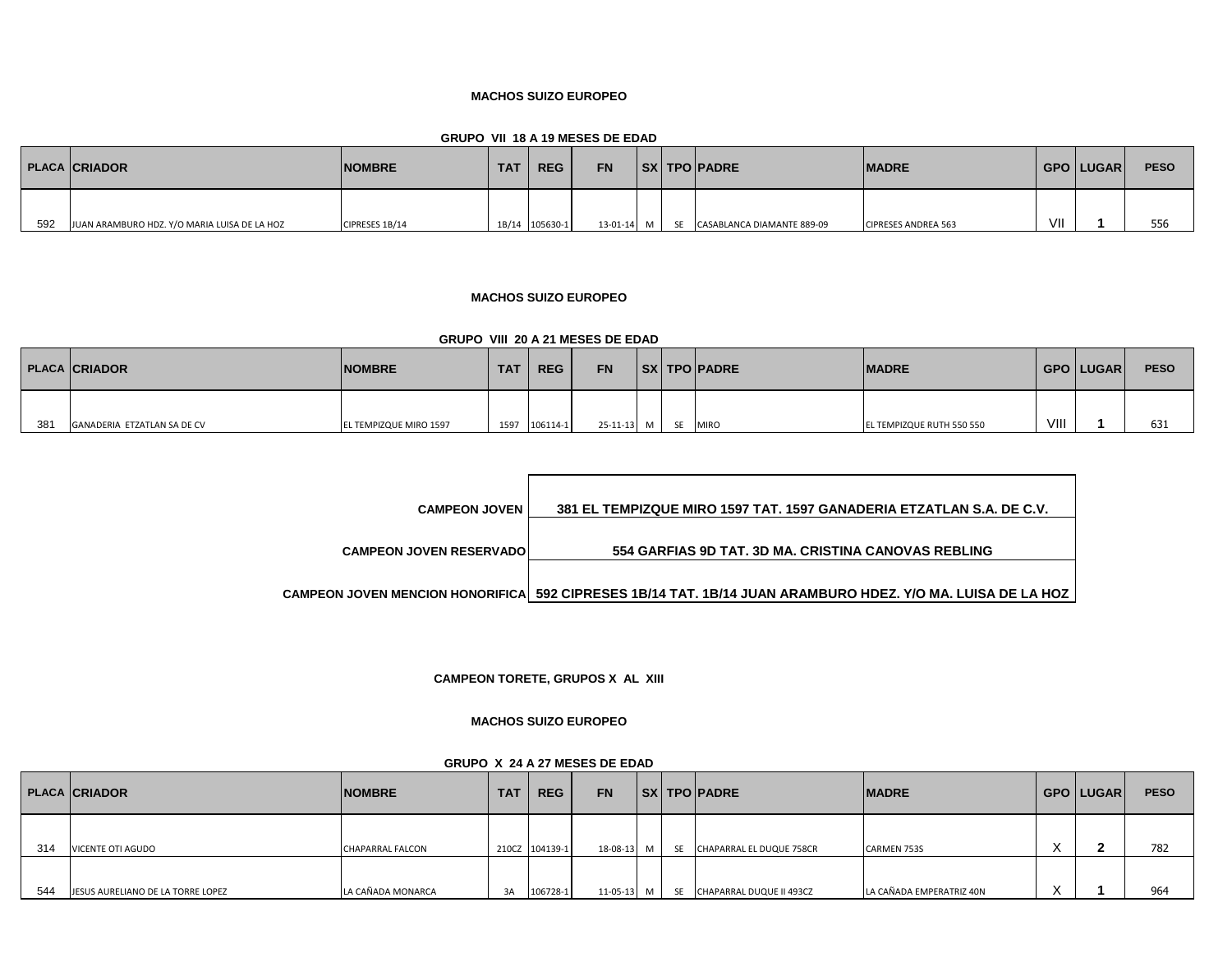**GRUPO VII 18 A 19 MESES DE EDAD**

|     | <b>PLACA CRIADOR</b>                         | <b>NOMBRE</b>  | <b>TAT</b> | <b>REG</b>     | <b>FN</b>  |     | SX   TPO   PADRE           | <b>MADRE</b>               |     | GPO LUGAR | <b>PESO</b> |
|-----|----------------------------------------------|----------------|------------|----------------|------------|-----|----------------------------|----------------------------|-----|-----------|-------------|
| 592 | JUAN ARAMBURO HDZ. Y/O MARIA LUISA DE LA HOZ | CIPRESES 1B/14 |            | 1B/14 105630-1 | 13-01-14 M | -SE | CASABLANCA DIAMANTE 889-09 | <b>CIPRESES ANDREA 563</b> | VII |           | 556         |

## **MACHOS SUIZO EUROPEO**

# **GRUPO VIII 20 A 21 MESES DE EDAD**

|     | <b>PLACA CRIADOR</b>        | <b>NOMBRE</b>                 | <b>TAT</b> | <b>REG</b> | <b>FN</b>          |  | <b>SX TPO PADRE</b> | <b>IMADRE</b>             |      | GPO   LUGAR | <b>PESO</b> |
|-----|-----------------------------|-------------------------------|------------|------------|--------------------|--|---------------------|---------------------------|------|-------------|-------------|
| 381 | GANADERIA ETZATLAN SA DE CV | <b>EL TEMPIZQUE MIRO 1597</b> | 1597       | 106114-1   | 25-11-13 M SE MIRO |  |                     | EL TEMPIZQUE RUTH 550 550 | VIII |             | 631         |

| <b>CAMPEON JOVEN</b>           | 381 EL TEMPIZQUE MIRO 1597 TAT. 1597 GANADERIA ETZATLAN S.A. DE C.V.                                       |
|--------------------------------|------------------------------------------------------------------------------------------------------------|
| <b>CAMPEON JOVEN RESERVADO</b> | 554 GARFIAS 9D TAT. 3D MA. CRISTINA CANOVAS REBLING                                                        |
|                                | CAMPEON JOVEN MENCION HONORIFICA 592 CIPRESES 1B/14 TAT. 1B/14 JUAN ARAMBURO HDEZ. Y/O MA. LUISA DE LA HOZ |

**CAMPEON TORETE, GRUPOS X AL XIII**

# **MACHOS SUIZO EUROPEO**

| GRUPO X 24 A 27 MESES DE EDAD |  |  |  |  |  |  |  |
|-------------------------------|--|--|--|--|--|--|--|
|-------------------------------|--|--|--|--|--|--|--|

|     | <b>PLACA CRIADOR</b>              | <b>NOMBRE</b>           | <b>TAT</b> | <b>REG</b>     | <b>FN</b> |                | <b>SX TPO PADRE</b>         | <b>IMADRE</b>            |           | GPO LUGAR | <b>PESO</b> |
|-----|-----------------------------------|-------------------------|------------|----------------|-----------|----------------|-----------------------------|--------------------------|-----------|-----------|-------------|
| 314 | <b>VICENTE OTI AGUDO</b>          | <b>CHAPARRAL FALCON</b> |            | 210CZ 104139-1 | 18-08-13  | M              | SE CHAPARRAL EL DUQUE 758CR | <b>CARMEN 753S</b>       | $\lambda$ |           | 782         |
| 544 | JESUS AURELIANO DE LA TORRE LOPEZ | LA CAÑADA MONARCA       | 3A         | 106728-1       | 11-05-13  | M <sub>1</sub> | SE CHAPARRAL DUQUE II 493CZ | LA CAÑADA EMPERATRIZ 40N |           |           | 964         |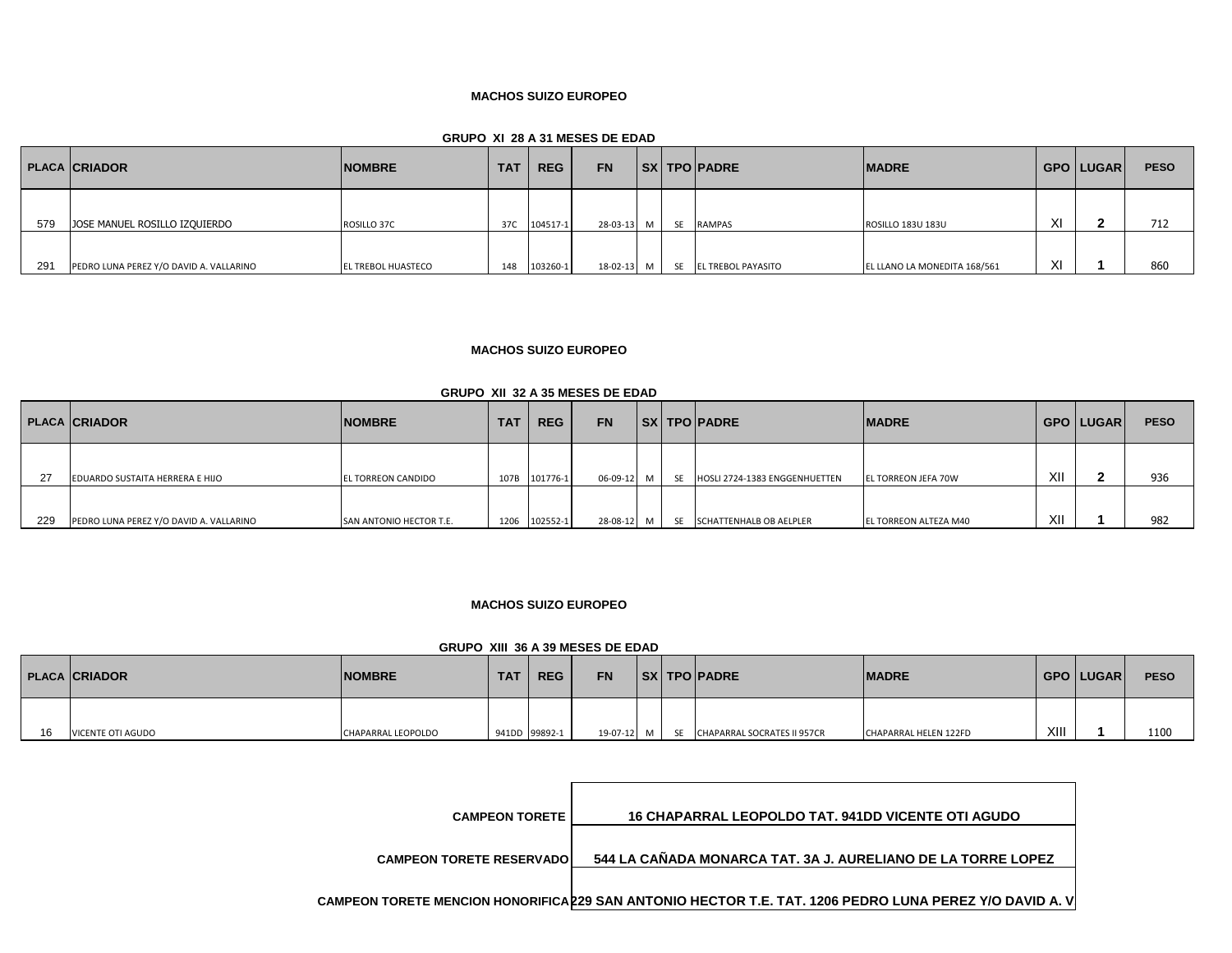#### **GRUPO XI 28 A 31 MESES DE EDAD**

|     | <b>PLACA CRIADOR</b>                    | <b>NOMBRE</b>             | <b>TAT</b> | <b>REG</b> | <b>FN</b> |           |           | <b>SX TPO PADRE</b>       | <b>MADRE</b>                 |        | GPO LUGAR | <b>PESO</b> |
|-----|-----------------------------------------|---------------------------|------------|------------|-----------|-----------|-----------|---------------------------|------------------------------|--------|-----------|-------------|
| 579 | JOSE MANUEL ROSILLO IZQUIERDO           | ROSILLO 37C               | 37C        | 104517-1   | 28-03-13  | <b>NA</b> | <b>SE</b> | <b>RAMPAS</b>             | ROSILLO 183U 183U            | XI     |           | 712         |
| 291 | PEDRO LUNA PEREZ Y/O DAVID A. VALLARINO | <b>EL TREBOL HUASTECO</b> | 148        | 103260-1   | 18-02-13  | M         | SF        | <b>EL TREBOL PAYASITO</b> | EL LLANO LA MONEDITA 168/561 | $\vee$ |           | 860         |

# **MACHOS SUIZO EUROPEO**

# **GRUPO XII 32 A 35 MESES DE EDAD**

|     | <b>PLACA CRIADOR</b>                    | <b>NOMBRE</b>             | <b>TAT</b> | <b>REG</b> | <b>FN</b> |           |           | <b>SX TPO PADRE</b>           | <b>MADRE</b>               |     | <b>GPO   LUGAR  </b> | <b>PESO</b> |
|-----|-----------------------------------------|---------------------------|------------|------------|-----------|-----------|-----------|-------------------------------|----------------------------|-----|----------------------|-------------|
| -27 | EDUARDO SUSTAITA HERRERA E HIJO         | <b>EL TORREON CANDIDO</b> | 107B       | 101776-1   | 06-09-12  | <b>NA</b> | <b>CF</b> | HOSLI 2724-1383 ENGGENHUETTEN | <b>EL TORREON JEFA 70W</b> | XII |                      | 936         |
| 229 | PEDRO LUNA PEREZ Y/O DAVID A. VALLARINO | SAN ANTONIO HECTOR T.E.   | 1206       | 102552-1   | 28-08-12  | M         | SE        | SCHATTENHALB OB AELPLER       | EL TORREON ALTEZA M40      | XII |                      | 982         |

## **MACHOS SUIZO EUROPEO**

## **GRUPO XIII 36 A 39 MESES DE EDAD**

|    | <b>PLACA CRIADOR</b> | <b>NOMBRE</b>      | <b>TAT</b> | <b>REG</b>    | <b>FN</b>  |  | <b>SX TPO PADRE</b>            | <b>IMADRE</b>         |      | GPO   LUGAR | <b>PESO</b> |
|----|----------------------|--------------------|------------|---------------|------------|--|--------------------------------|-----------------------|------|-------------|-------------|
| 16 | VICENTE OTI AGUDO    | CHAPARRAL LEOPOLDO |            | 941DD 99892-1 | 19-07-12 M |  | SE CHAPARRAL SOCRATES II 957CR | CHAPARRAL HELEN 122FD | XIII |             | 1100        |

| <b>CAMPEON TORETE</b>           | <b>16 CHAPARRAL LEOPOLDO TAT. 941DD VICENTE OTI AGUDO</b>                                               |
|---------------------------------|---------------------------------------------------------------------------------------------------------|
| <b>CAMPEON TORETE RESERVADO</b> | 544 LA CAÑADA MONARCA TAT. 3A J. AURELIANO DE LA TORRE LOPEZ                                            |
|                                 | CAMPEON TORETE MENCION HONORIFICA 229 SAN ANTONIO HECTOR T.E. TAT. 1206 PEDRO LUNA PEREZ Y/O DAVID A. V |